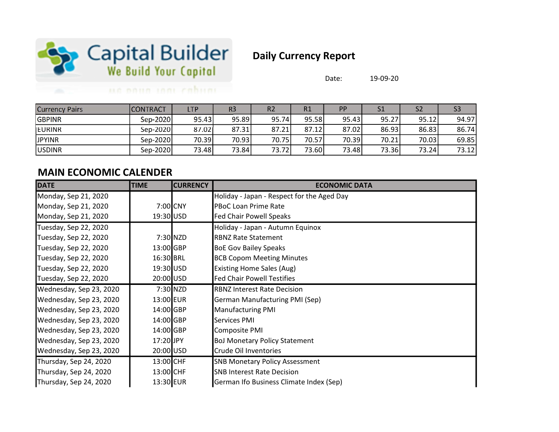

## Daily Currency Report

Date: 19-09-20

## un noun inni cabum

| <b>Currency Pairs</b> | <b>CONTRACT</b> | LTP   | R3    | R <sub>2</sub> | R1      | <b>PP</b> | C <sub>1</sub> |        | S <sub>3</sub> |
|-----------------------|-----------------|-------|-------|----------------|---------|-----------|----------------|--------|----------------|
| <b>GBPINR</b>         | Sep-2020        | 95.43 | 95.89 | 95.74          | 95.58   | 95.43     | 95.27          | 95.12  | 94.97          |
| <b>IEURINR</b>        | Sep-2020        | 87.02 | 87.31 | 87.21          | 87.12   | 87.02     | 86.93          | 86.83  | 86.74          |
| <b>JPYINR</b>         | Sep-2020        | 70.39 | 70.93 | 70.75          | 70.57   | 70.39     | 70.21          | 70.03  | 69.85          |
| <b>JUSDINR</b>        | Sep-2020        | 73.48 | 73.84 | 73.72          | 73.60 l | 73.48     | 73.36          | 73.24l | 73.12          |

## MAIN ECONOMIC CALENDER

| <b>DATE</b>             | <b>TIME</b> | <b>CURRENCY</b> | <b>ECONOMIC DATA</b>                       |
|-------------------------|-------------|-----------------|--------------------------------------------|
| Monday, Sep 21, 2020    |             |                 | Holiday - Japan - Respect for the Aged Day |
| Monday, Sep 21, 2020    |             | 7:00 CNY        | PBoC Loan Prime Rate                       |
| Monday, Sep 21, 2020    | 19:30 USD   |                 | <b>Fed Chair Powell Speaks</b>             |
| Tuesday, Sep 22, 2020   |             |                 | Holiday - Japan - Autumn Equinox           |
| Tuesday, Sep 22, 2020   |             | 7:30 NZD        | <b>RBNZ Rate Statement</b>                 |
| Tuesday, Sep 22, 2020   | 13:00 GBP   |                 | <b>BoE Gov Bailey Speaks</b>               |
| Tuesday, Sep 22, 2020   | 16:30 BRL   |                 | <b>BCB Copom Meeting Minutes</b>           |
| Tuesday, Sep 22, 2020   | 19:30 USD   |                 | <b>Existing Home Sales (Aug)</b>           |
| Tuesday, Sep 22, 2020   | 20:00 USD   |                 | <b>Fed Chair Powell Testifies</b>          |
| Wednesday, Sep 23, 2020 |             | 7:30 NZD        | <b>RBNZ Interest Rate Decision</b>         |
| Wednesday, Sep 23, 2020 | 13:00 EUR   |                 | <b>German Manufacturing PMI (Sep)</b>      |
| Wednesday, Sep 23, 2020 | 14:00 GBP   |                 | <b>Manufacturing PMI</b>                   |
| Wednesday, Sep 23, 2020 | 14:00 GBP   |                 | Services PMI                               |
| Wednesday, Sep 23, 2020 | 14:00 GBP   |                 | Composite PMI                              |
| Wednesday, Sep 23, 2020 | 17:20 JPY   |                 | <b>BoJ Monetary Policy Statement</b>       |
| Wednesday, Sep 23, 2020 | 20:00 USD   |                 | Crude Oil Inventories                      |
| Thursday, Sep 24, 2020  | 13:00 CHF   |                 | <b>SNB Monetary Policy Assessment</b>      |
| Thursday, Sep 24, 2020  | 13:00 CHF   |                 | <b>SNB Interest Rate Decision</b>          |
| Thursday, Sep 24, 2020  | 13:30 EUR   |                 | German Ifo Business Climate Index (Sep)    |